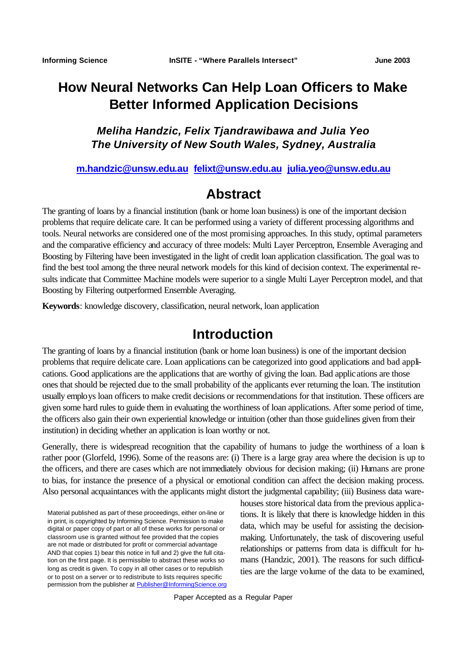# **How Neural Networks Can Help Loan Officers to Make Better Informed Application Decisions**

## *Meliha Handzic, Felix Tjandrawibawa and Julia Yeo The University of New South Wales, Sydney, Australia*

#### **m.handzic@unsw.edu.au felixt@unsw.edu.au julia.yeo@unsw.edu.au**

# **Abstract**

The granting of loans by a financial institution (bank or home loan business) is one of the important decision problems that require delicate care. It can be performed using a variety of different processing algorithms and tools. Neural networks are considered one of the most promising approaches. In this study, optimal parameters and the comparative efficiency and accuracy of three models: Multi Layer Perceptron, Ensemble Averaging and Boosting by Filtering have been investigated in the light of credit loan application classification. The goal was to find the best tool among the three neural network models for this kind of decision context. The experimental results indicate that Committee Machine models were superior to a single Multi Layer Perceptron model, and that Boosting by Filtering outperformed Ensemble Averaging.

**Keywords**: knowledge discovery, classification, neural network, loan application

# **Introduction**

The granting of loans by a financial institution (bank or home loan business) is one of the important decision problems that require delicate care. Loan applications can be categorized into good applications and bad applications. Good applications are the applications that are worthy of giving the loan. Bad applications are those ones that should be rejected due to the small probability of the applicants ever returning the loan. The institution usually employs loan officers to make credit decisions or recommendations for that institution. These officers are given some hard rules to guide them in evaluating the worthiness of loan applications. After some period of time, the officers also gain their own experiential knowledge or intuition (other than those guidelines given from their institution) in deciding whether an application is loan worthy or not.

Generally, there is widespread recognition that the capability of humans to judge the worthiness of a loan is rather poor (Glorfeld, 1996). Some of the reasons are: (i) There is a large gray area where the decision is up to the officers, and there are cases which are not immediately obvious for decision making; (ii) Humans are prone to bias, for instance the presence of a physical or emotional condition can affect the decision making process. Also personal acquaintances with the applicants might distort the judgmental capability; (iii) Business data ware-

Material published as part of these proceedings, either on-line or in print, is copyrighted by Informing Science. Permission to make digital or paper copy of part or all of these works for personal or classroom use is granted without fee provided that the copies are not made or distributed for profit or commercial advantage AND that copies 1) bear this notice in full and 2) give the full citation on the first page. It is permissible to abstract these works so long as credit is given. To copy in all other cases or to republish or to post on a server or to redistribute to lists requires specific permission from the publisher at Publisher@InformingScience.org houses store historical data from the previous applications. It is likely that there is knowledge hidden in this data, which may be useful for assisting the decisionmaking. Unfortunately, the task of discovering useful relationships or patterns from data is difficult for humans (Handzic, 2001). The reasons for such difficulties are the large volume of the data to be examined,

Paper Accepted as a Regular Paper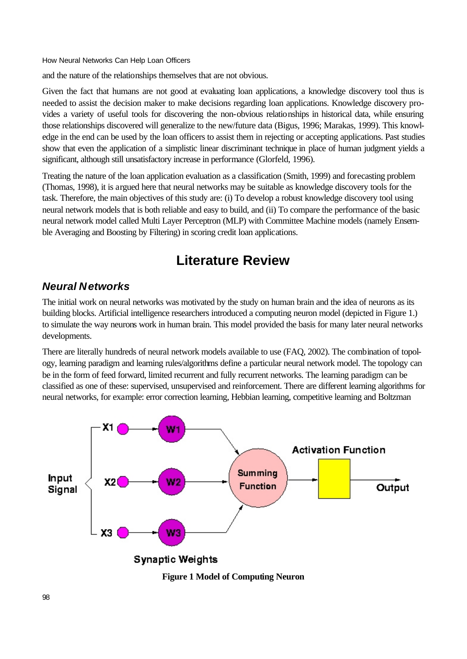and the nature of the relationships themselves that are not obvious.

Given the fact that humans are not good at evaluating loan applications, a knowledge discovery tool thus is needed to assist the decision maker to make decisions regarding loan applications. Knowledge discovery provides a variety of useful tools for discovering the non-obvious relationships in historical data, while ensuring those relationships discovered will generalize to the new/future data (Bigus, 1996; Marakas, 1999). This knowledge in the end can be used by the loan officers to assist them in rejecting or accepting applications. Past studies show that even the application of a simplistic linear discriminant technique in place of human judgment yields a significant, although still unsatisfactory increase in performance (Glorfeld, 1996).

Treating the nature of the loan application evaluation as a classification (Smith, 1999) and forecasting problem (Thomas, 1998), it is argued here that neural networks may be suitable as knowledge discovery tools for the task. Therefore, the main objectives of this study are: (i) To develop a robust knowledge discovery tool using neural network models that is both reliable and easy to build, and (ii) To compare the performance of the basic neural network model called Multi Layer Perceptron (MLP) with Committee Machine models (namely Ensemble Averaging and Boosting by Filtering) in scoring credit loan applications.

# **Literature Review**

## *Neural Networks*

The initial work on neural networks was motivated by the study on human brain and the idea of neurons as its building blocks. Artificial intelligence researchers introduced a computing neuron model (depicted in Figure 1.) to simulate the way neurons work in human brain. This model provided the basis for many later neural networks developments.

There are literally hundreds of neural network models available to use (FAQ, 2002). The combination of topology, learning paradigm and learning rules/algorithms define a particular neural network model. The topology can be in the form of feed forward, limited recurrent and fully recurrent networks. The learning paradigm can be classified as one of these: supervised, unsupervised and reinforcement. There are different learning algorithms for neural networks, for example: error correction learning, Hebbian learning, competitive learning and Boltzman



**Figure 1 Model of Computing Neuron**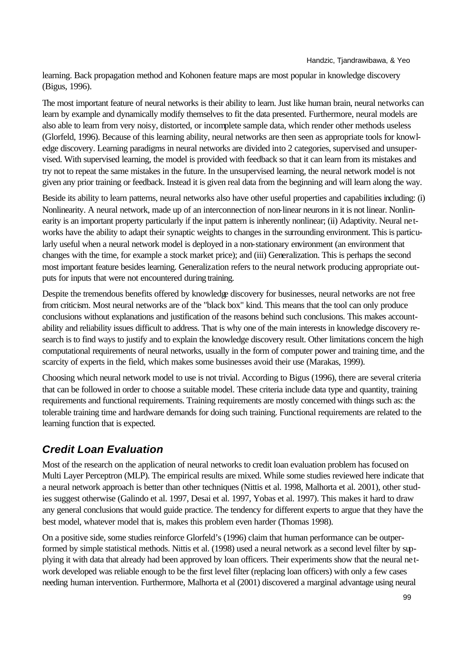learning. Back propagation method and Kohonen feature maps are most popular in knowledge discovery (Bigus, 1996).

The most important feature of neural networks is their ability to learn. Just like human brain, neural networks can learn by example and dynamically modify themselves to fit the data presented. Furthermore, neural models are also able to learn from very noisy, distorted, or incomplete sample data, which render other methods useless (Glorfeld, 1996). Because of this learning ability, neural networks are then seen as appropriate tools for knowledge discovery. Learning paradigms in neural networks are divided into 2 categories, supervised and unsupervised. With supervised learning, the model is provided with feedback so that it can learn from its mistakes and try not to repeat the same mistakes in the future. In the unsupervised learning, the neural network model is not given any prior training or feedback. Instead it is given real data from the beginning and will learn along the way.

Beside its ability to learn patterns, neural networks also have other useful properties and capabilities including: (i) Nonlinearity. A neural network, made up of an interconnection of non-linear neurons in it is not linear. Nonlinearity is an important property particularly if the input pattern is inherently nonlinear; (ii) Adaptivity. Neural networks have the ability to adapt their synaptic weights to changes in the surrounding environment. This is particularly useful when a neural network model is deployed in a non-stationary environment (an environment that changes with the time, for example a stock market price); and (iii) Generalization. This is perhaps the second most important feature besides learning. Generalization refers to the neural network producing appropriate outputs for inputs that were not encountered during training.

Despite the tremendous benefits offered by knowledge discovery for businesses, neural networks are not free from criticism. Most neural networks are of the "black box" kind. This means that the tool can only produce conclusions without explanations and justification of the reasons behind such conclusions. This makes accountability and reliability issues difficult to address. That is why one of the main interests in knowledge discovery research is to find ways to justify and to explain the knowledge discovery result. Other limitations concern the high computational requirements of neural networks, usually in the form of computer power and training time, and the scarcity of experts in the field, which makes some businesses avoid their use (Marakas, 1999).

Choosing which neural network model to use is not trivial. According to Bigus (1996), there are several criteria that can be followed in order to choose a suitable model. These criteria include data type and quantity, training requirements and functional requirements. Training requirements are mostly concerned with things such as: the tolerable training time and hardware demands for doing such training. Functional requirements are related to the learning function that is expected.

# *Credit Loan Evaluation*

Most of the research on the application of neural networks to credit loan evaluation problem has focused on Multi Layer Perceptron (MLP). The empirical results are mixed. While some studies reviewed here indicate that a neural network approach is better than other techniques (Nittis et al. 1998, Malhorta et al. 2001), other studies suggest otherwise (Galindo et al. 1997, Desai et al. 1997, Yobas et al. 1997). This makes it hard to draw any general conclusions that would guide practice. The tendency for different experts to argue that they have the best model, whatever model that is, makes this problem even harder (Thomas 1998).

On a positive side, some studies reinforce Glorfeld's (1996) claim that human performance can be outperformed by simple statistical methods. Nittis et al. (1998) used a neural network as a second level filter by supplying it with data that already had been approved by loan officers. Their experiments show that the neural network developed was reliable enough to be the first level filter (replacing loan officers) with only a few cases needing human intervention. Furthermore, Malhorta et al (2001) discovered a marginal advantage using neural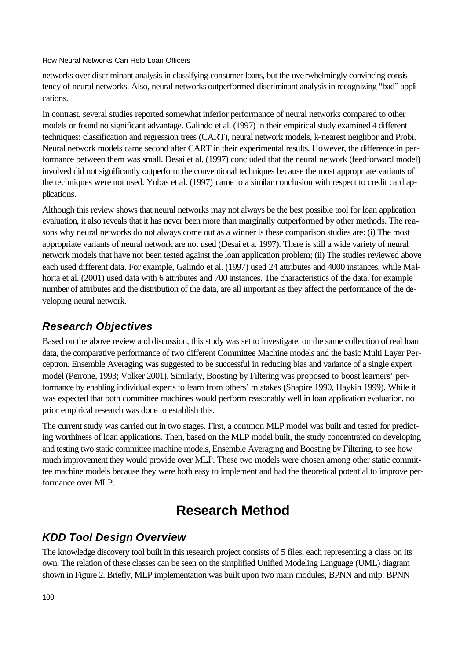networks over discriminant analysis in classifying consumer loans, but the overwhelmingly convincing consistency of neural networks. Also, neural networks outperformed discriminant analysis in recognizing "bad" applications.

In contrast, several studies reported somewhat inferior performance of neural networks compared to other models or found no significant advantage. Galindo et al. (1997) in their empirical study examined 4 different techniques: classification and regression trees (CART), neural network models, k-nearest neighbor and Probi. Neural network models came second after CART in their experimental results. However, the difference in performance between them was small. Desai et al. (1997) concluded that the neural network (feedforward model) involved did not significantly outperform the conventional techniques because the most appropriate variants of the techniques were not used. Yobas et al. (1997) came to a similar conclusion with respect to credit card applications.

Although this review shows that neural networks may not always be the best possible tool for loan application evaluation, it also reveals that it has never been more than marginally outperformed by other methods. The reasons why neural networks do not always come out as a winner is these comparison studies are: (i) The most appropriate variants of neural network are not used (Desai et a. 1997). There is still a wide variety of neural network models that have not been tested against the loan application problem; (ii) The studies reviewed above each used different data. For example, Galindo et al. (1997) used 24 attributes and 4000 instances, while Malhorta et al. (2001) used data with 6 attributes and 700 instances. The characteristics of the data, for example number of attributes and the distribution of the data, are all important as they affect the performance of the developing neural network.

## *Research Objectives*

Based on the above review and discussion, this study was set to investigate, on the same collection of real loan data, the comparative performance of two different Committee Machine models and the basic Multi Layer Perceptron. Ensemble Averaging was suggested to be successful in reducing bias and variance of a single expert model (Perrone, 1993; Volker 2001). Similarly, Boosting by Filtering was proposed to boost learners' performance by enabling individual experts to learn from others' mistakes (Shapire 1990, Haykin 1999). While it was expected that both committee machines would perform reasonably well in loan application evaluation, no prior empirical research was done to establish this.

The current study was carried out in two stages. First, a common MLP model was built and tested for predicting worthiness of loan applications. Then, based on the MLP model built, the study concentrated on developing and testing two static committee machine models, Ensemble Averaging and Boosting by Filtering, to see how much improvement they would provide over MLP. These two models were chosen among other static committee machine models because they were both easy to implement and had the theoretical potential to improve performance over MLP.

# **Research Method**

## *KDD Tool Design Overview*

The knowledge discovery tool built in this research project consists of 5 files, each representing a class on its own. The relation of these classes can be seen on the simplified Unified Modeling Language (UML) diagram shown in Figure 2. Briefly, MLP implementation was built upon two main modules, BPNN and mlp. BPNN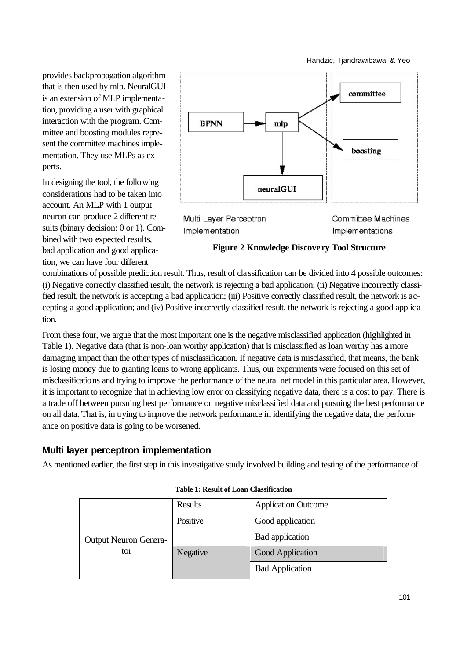Handzic, Tjandrawibawa, & Yeo

provides backpropagation algorithm that is then used by mlp. NeuralGUI is an extension of MLP implementation, providing a user with graphical interaction with the program. Committee and boosting modules represent the committee machines implementation. They use MLPs as experts.

In designing the tool, the following considerations had to be taken into account. An MLP with 1 output neuron can produce 2 different results (binary decision: 0 or 1). Combined with two expected results, bad application and good application, we can have four different



Multi Layer Perceptron Implementation

Committee Machines Implementations

**Figure 2 Knowledge Discove ry Tool Structure**

combinations of possible prediction result. Thus, result of classification can be divided into 4 possible outcomes: (i) Negative correctly classified result, the network is rejecting a bad application; (ii) Negative incorrectly classified result, the network is accepting a bad application; (iii) Positive correctly classified result, the network is accepting a good application; and (iv) Positive incorrectly classified result, the network is rejecting a good application.

From these four, we argue that the most important one is the negative misclassified application (highlighted in Table 1). Negative data (that is non-loan worthy application) that is misclassified as loan worthy has a more damaging impact than the other types of misclassification. If negative data is misclassified, that means, the bank is losing money due to granting loans to wrong applicants. Thus, our experiments were focused on this set of misclassifications and trying to improve the performance of the neural net model in this particular area. However, it is important to recognize that in achieving low error on classifying negative data, there is a cost to pay. There is a trade off between pursuing best performance on negative misclassified data and pursuing the best performance on all data. That is, in trying to improve the network performance in identifying the negative data, the performance on positive data is going to be worsened.

### **Multi layer perceptron implementation**

As mentioned earlier, the first step in this investigative study involved building and testing of the performance of

|                                     | Results  | <b>Application Outcome</b> |
|-------------------------------------|----------|----------------------------|
| <b>Output Neuron Genera-</b><br>tor | Positive | Good application           |
|                                     |          | Bad application            |
|                                     | Negative | Good Application           |
|                                     |          | <b>Bad Application</b>     |

| Table 1: Result of Loan Classification |  |
|----------------------------------------|--|
|----------------------------------------|--|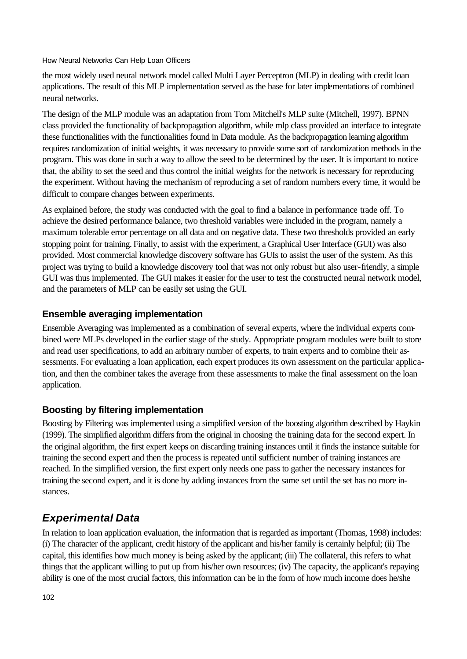the most widely used neural network model called Multi Layer Perceptron (MLP) in dealing with credit loan applications. The result of this MLP implementation served as the base for later implementations of combined neural networks.

The design of the MLP module was an adaptation from Tom Mitchell's MLP suite (Mitchell, 1997). BPNN class provided the functionality of backpropagation algorithm, while mlp class provided an interface to integrate these functionalities with the functionalities found in Data module. As the backpropagation learning algorithm requires randomization of initial weights, it was necessary to provide some sort of randomization methods in the program. This was done in such a way to allow the seed to be determined by the user. It is important to notice that, the ability to set the seed and thus control the initial weights for the network is necessary for reproducing the experiment. Without having the mechanism of reproducing a set of random numbers every time, it would be difficult to compare changes between experiments.

As explained before, the study was conducted with the goal to find a balance in performance trade off. To achieve the desired performance balance, two threshold variables were included in the program, namely a maximum tolerable error percentage on all data and on negative data. These two thresholds provided an early stopping point for training. Finally, to assist with the experiment, a Graphical User Interface (GUI) was also provided. Most commercial knowledge discovery software has GUIs to assist the user of the system. As this project was trying to build a knowledge discovery tool that was not only robust but also user-friendly, a simple GUI was thus implemented. The GUI makes it easier for the user to test the constructed neural network model, and the parameters of MLP can be easily set using the GUI.

### **Ensemble averaging implementation**

Ensemble Averaging was implemented as a combination of several experts, where the individual experts combined were MLPs developed in the earlier stage of the study. Appropriate program modules were built to store and read user specifications, to add an arbitrary number of experts, to train experts and to combine their assessments. For evaluating a loan application, each expert produces its own assessment on the particular application, and then the combiner takes the average from these assessments to make the final assessment on the loan application.

### **Boosting by filtering implementation**

Boosting by Filtering was implemented using a simplified version of the boosting algorithm described by Haykin (1999). The simplified algorithm differs from the original in choosing the training data for the second expert. In the original algorithm, the first expert keeps on discarding training instances until it finds the instance suitable for training the second expert and then the process is repeated until sufficient number of training instances are reached. In the simplified version, the first expert only needs one pass to gather the necessary instances for training the second expert, and it is done by adding instances from the same set until the set has no more instances.

# *Experimental Data*

In relation to loan application evaluation, the information that is regarded as important (Thomas, 1998) includes: (i) The character of the applicant, credit history of the applicant and his/her family is certainly helpful; (ii) The capital, this identifies how much money is being asked by the applicant; (iii) The collateral, this refers to what things that the applicant willing to put up from his/her own resources; (iv) The capacity, the applicant's repaying ability is one of the most crucial factors, this information can be in the form of how much income does he/she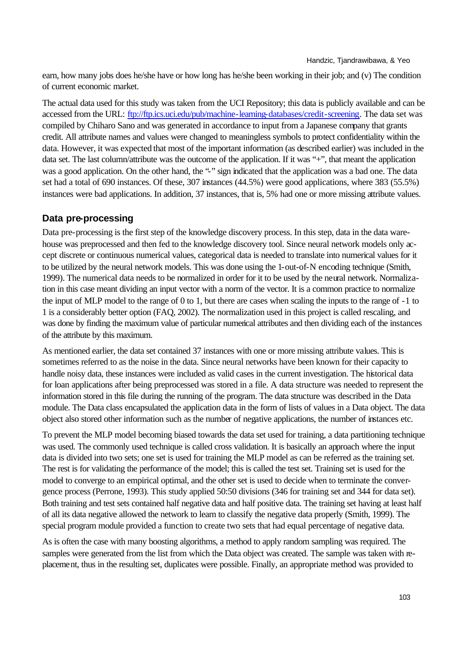earn, how many jobs does he/she have or how long has he/she been working in their job; and (v) The condition of current economic market.

The actual data used for this study was taken from the UCI Repository; this data is publicly available and can be accessed from the URL: ftp://ftp.ics.uci.edu/pub/machine-learning-databases/credit-screening. The data set was compiled by Chiharo Sano and was generated in accordance to input from a Japanese company that grants credit. All attribute names and values were changed to meaningless symbols to protect confidentiality within the data. However, it was expected that most of the important information (as described earlier) was included in the data set. The last column/attribute was the outcome of the application. If it was "+", that meant the application was a good application. On the other hand, the "-" sign indicated that the application was a bad one. The data set had a total of 690 instances. Of these, 307 instances (44.5%) were good applications, where 383 (55.5%) instances were bad applications. In addition, 37 instances, that is, 5% had one or more missing attribute values.

#### **Data pre-processing**

Data pre-processing is the first step of the knowledge discovery process. In this step, data in the data warehouse was preprocessed and then fed to the knowledge discovery tool. Since neural network models only accept discrete or continuous numerical values, categorical data is needed to translate into numerical values for it to be utilized by the neural network models. This was done using the 1-out-of-N encoding technique (Smith, 1999). The numerical data needs to be normalized in order for it to be used by the neural network. Normalization in this case meant dividing an input vector with a norm of the vector. It is a common practice to normalize the input of MLP model to the range of 0 to 1, but there are cases when scaling the inputs to the range of -1 to 1 is a considerably better option (FAQ, 2002). The normalization used in this project is called rescaling, and was done by finding the maximum value of particular numerical attributes and then dividing each of the instances of the attribute by this maximum.

As mentioned earlier, the data set contained 37 instances with one or more missing attribute values. This is sometimes referred to as the noise in the data. Since neural networks have been known for their capacity to handle noisy data, these instances were included as valid cases in the current investigation. The historical data for loan applications after being preprocessed was stored in a file. A data structure was needed to represent the information stored in this file during the running of the program. The data structure was described in the Data module. The Data class encapsulated the application data in the form of lists of values in a Data object. The data object also stored other information such as the number of negative applications, the number of instances etc.

To prevent the MLP model becoming biased towards the data set used for training, a data partitioning technique was used. The commonly used technique is called cross validation. It is basically an approach where the input data is divided into two sets; one set is used for training the MLP model as can be referred as the training set. The rest is for validating the performance of the model; this is called the test set. Training set is used for the model to converge to an empirical optimal, and the other set is used to decide when to terminate the convergence process (Perrone, 1993). This study applied 50:50 divisions (346 for training set and 344 for data set). Both training and test sets contained half negative data and half positive data. The training set having at least half of all its data negative allowed the network to learn to classify the negative data properly (Smith, 1999). The special program module provided a function to create two sets that had equal percentage of negative data.

As is often the case with many boosting algorithms, a method to apply random sampling was required. The samples were generated from the list from which the Data object was created. The sample was taken with replacement, thus in the resulting set, duplicates were possible. Finally, an appropriate method was provided to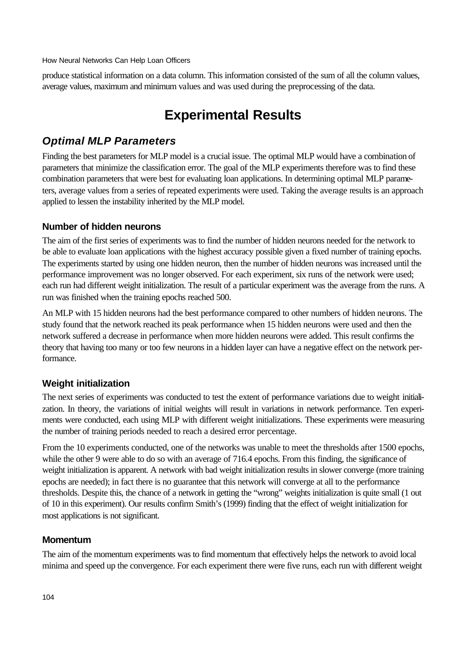produce statistical information on a data column. This information consisted of the sum of all the column values, average values, maximum and minimum values and was used during the preprocessing of the data.

# **Experimental Results**

# *Optimal MLP Parameters*

Finding the best parameters for MLP model is a crucial issue. The optimal MLP would have a combination of parameters that minimize the classification error. The goal of the MLP experiments therefore was to find these combination parameters that were best for evaluating loan applications. In determining optimal MLP parameters, average values from a series of repeated experiments were used. Taking the average results is an approach applied to lessen the instability inherited by the MLP model.

#### **Number of hidden neurons**

The aim of the first series of experiments was to find the number of hidden neurons needed for the network to be able to evaluate loan applications with the highest accuracy possible given a fixed number of training epochs. The experiments started by using one hidden neuron, then the number of hidden neurons was increased until the performance improvement was no longer observed. For each experiment, six runs of the network were used; each run had different weight initialization. The result of a particular experiment was the average from the runs. A run was finished when the training epochs reached 500.

An MLP with 15 hidden neurons had the best performance compared to other numbers of hidden neurons. The study found that the network reached its peak performance when 15 hidden neurons were used and then the network suffered a decrease in performance when more hidden neurons were added. This result confirms the theory that having too many or too few neurons in a hidden layer can have a negative effect on the network performance.

### **Weight initialization**

The next series of experiments was conducted to test the extent of performance variations due to weight initialization. In theory, the variations of initial weights will result in variations in network performance. Ten experiments were conducted, each using MLP with different weight initializations. These experiments were measuring the number of training periods needed to reach a desired error percentage.

From the 10 experiments conducted, one of the networks was unable to meet the thresholds after 1500 epochs, while the other 9 were able to do so with an average of 716.4 epochs. From this finding, the significance of weight initialization is apparent. A network with bad weight initialization results in slower converge (more training epochs are needed); in fact there is no guarantee that this network will converge at all to the performance thresholds. Despite this, the chance of a network in getting the "wrong" weights initialization is quite small (1 out of 10 in this experiment). Our results confirm Smith's (1999) finding that the effect of weight initialization for most applications is not significant.

#### **Momentum**

The aim of the momentum experiments was to find momentum that effectively helps the network to avoid local minima and speed up the convergence. For each experiment there were five runs, each run with different weight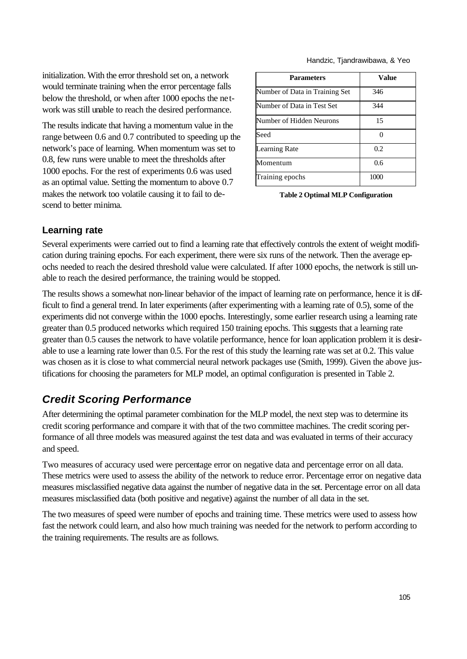initialization. With the error threshold set on, a network would terminate training when the error percentage falls below the threshold, or when after 1000 epochs the network was still unable to reach the desired performance.

The results indicate that having a momentum value in the range between 0.6 and 0.7 contributed to speeding up the network's pace of learning. When momentum was set to 0.8, few runs were unable to meet the thresholds after 1000 epochs. For the rest of experiments 0.6 was used as an optimal value. Setting the momentum to above 0.7 makes the network too volatile causing it to fail to descend to better minima.

| <b>Parameters</b>              | Value |
|--------------------------------|-------|
| Number of Data in Training Set | 346   |
| Number of Data in Test Set     | 344   |
| Number of Hidden Neurons       | 15    |
| Seed                           |       |
| <b>Learning Rate</b>           | 0.2   |
| Momentum                       | 0.6   |
| Training epochs                | 1000  |

**Table 2 Optimal MLP Configuration**

#### **Learning rate**

Several experiments were carried out to find a learning rate that effectively controls the extent of weight modification during training epochs. For each experiment, there were six runs of the network. Then the average epochs needed to reach the desired threshold value were calculated. If after 1000 epochs, the network is still unable to reach the desired performance, the training would be stopped.

The results shows a somewhat non-linear behavior of the impact of learning rate on performance, hence it is difficult to find a general trend. In later experiments (after experimenting with a learning rate of 0.5), some of the experiments did not converge within the 1000 epochs. Interestingly, some earlier research using a learning rate greater than 0.5 produced networks which required 150 training epochs. This suggests that a learning rate greater than 0.5 causes the network to have volatile performance, hence for loan application problem it is desirable to use a learning rate lower than 0.5. For the rest of this study the learning rate was set at 0.2. This value was chosen as it is close to what commercial neural network packages use (Smith, 1999). Given the above justifications for choosing the parameters for MLP model, an optimal configuration is presented in Table 2.

## *Credit Scoring Performance*

After determining the optimal parameter combination for the MLP model, the next step was to determine its credit scoring performance and compare it with that of the two committee machines. The credit scoring performance of all three models was measured against the test data and was evaluated in terms of their accuracy and speed.

Two measures of accuracy used were percentage error on negative data and percentage error on all data. These metrics were used to assess the ability of the network to reduce error. Percentage error on negative data measures misclassified negative data against the number of negative data in the set. Percentage error on all data measures misclassified data (both positive and negative) against the number of all data in the set.

The two measures of speed were number of epochs and training time. These metrics were used to assess how fast the network could learn, and also how much training was needed for the network to perform according to the training requirements. The results are as follows.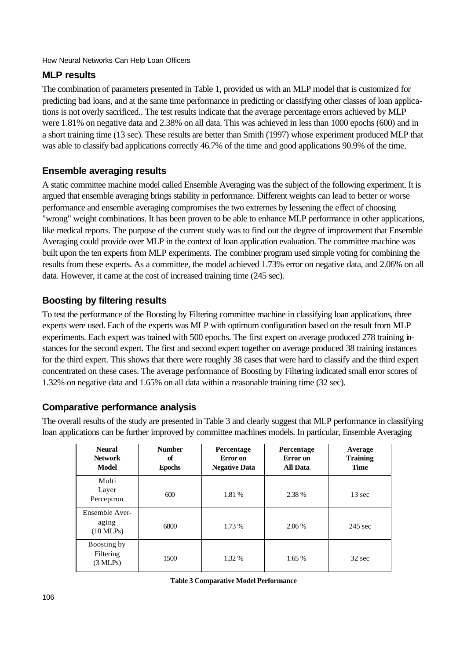### **MLP results**

The combination of parameters presented in Table 1, provided us with an MLP model that is customized for predicting bad loans, and at the same time performance in predicting or classifying other classes of loan applications is not overly sacrificed.. The test results indicate that the average percentage errors achieved by MLP were 1.81% on negative data and 2.38% on all data. This was achieved in less than 1000 epochs (600) and in a short training time (13 sec). These results are better than Smith (1997) whose experiment produced MLP that was able to classify bad applications correctly 46.7% of the time and good applications 90.9% of the time.

### **Ensemble averaging results**

A static committee machine model called Ensemble Averaging was the subject of the following experiment. It is argued that ensemble averaging brings stability in performance. Different weights can lead to better or worse performance and ensemble averaging compromises the two extremes by lessening the effect of choosing "wrong" weight combinations. It has been proven to be able to enhance MLP performance in other applications, like medical reports. The purpose of the current study was to find out the degree of improvement that Ensemble Averaging could provide over MLP in the context of loan application evaluation. The committee machine was built upon the ten experts from MLP experiments. The combiner program used simple voting for combining the results from these experts. As a committee, the model achieved 1.73% error on negative data, and 2.06% on all data. However, it came at the cost of increased training time (245 sec).

### **Boosting by filtering results**

To test the performance of the Boosting by Filtering committee machine in classifying loan applications, three experts were used. Each of the experts was MLP with optimum configuration based on the result from MLP experiments. Each expert was trained with 500 epochs. The first expert on average produced 278 training instances for the second expert. The first and second expert together on average produced 38 training instances for the third expert. This shows that there were roughly 38 cases that were hard to classify and the third expert concentrated on these cases. The average performance of Boosting by Filtering indicated small error scores of 1.32% on negative data and 1.65% on all data within a reasonable training time (32 sec).

### **Comparative performance analysis**

The overall results of the study are presented in Table 3 and clearly suggest that MLP performance in classifying loan applications can be further improved by committee machines models. In particular, Ensemble Averaging

| <b>Neural</b><br><b>Network</b><br>Model       | <b>Number</b><br>of<br><b>Epochs</b> | Percentage<br>Error on<br><b>Negative Data</b> | Percentage<br>Error on<br><b>All Data</b> | Average<br><b>Training</b><br>Time |
|------------------------------------------------|--------------------------------------|------------------------------------------------|-------------------------------------------|------------------------------------|
| Multi<br>Layer<br>Perceptron                   | 600                                  | 1.81 %                                         | 2.38 %                                    | $13 \text{ sec}$                   |
| Ensemble Aver-<br>aging<br>$(10$ MLPs)         | 6800                                 | 1.73 %                                         | $2.06\%$                                  | $245 \text{ sec}$                  |
| Boosting by<br>Filtering<br>$(3 \text{ MLPs})$ | 1500                                 | 1.32 %                                         | 1.65%                                     | $32 \text{ sec}$                   |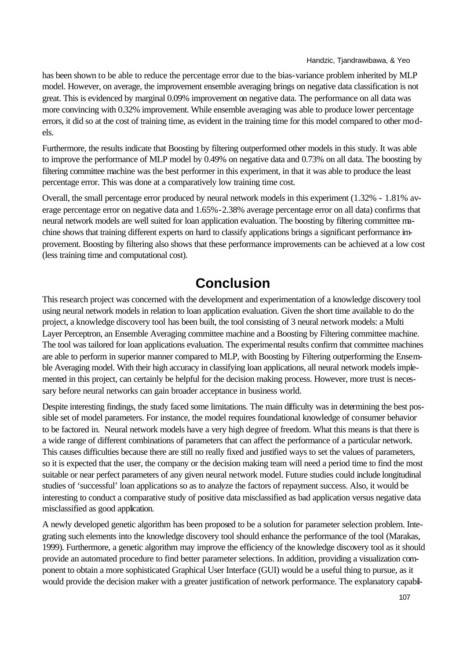has been shown to be able to reduce the percentage error due to the bias-variance problem inherited by MLP model. However, on average, the improvement ensemble averaging brings on negative data classification is not great. This is evidenced by marginal 0.09% improvement on negative data. The performance on all data was more convincing with 0.32% improvement. While ensemble averaging was able to produce lower percentage errors, it did so at the cost of training time, as evident in the training time for this model compared to other models.

Furthermore, the results indicate that Boosting by filtering outperformed other models in this study. It was able to improve the performance of MLP model by 0.49% on negative data and 0.73% on all data. The boosting by filtering committee machine was the best performer in this experiment, in that it was able to produce the least percentage error. This was done at a comparatively low training time cost.

Overall, the small percentage error produced by neural network models in this experiment (1.32% - 1.81% average percentage error on negative data and 1.65%-2.38% average percentage error on all data) confirms that neural network models are well suited for loan application evaluation. The boosting by filtering committee machine shows that training different experts on hard to classify applications brings a significant performance improvement. Boosting by filtering also shows that these performance improvements can be achieved at a low cost (less training time and computational cost).

# **Conclusion**

This research project was concerned with the development and experimentation of a knowledge discovery tool using neural network models in relation to loan application evaluation. Given the short time available to do the project, a knowledge discovery tool has been built, the tool consisting of 3 neural network models: a Multi Layer Perceptron, an Ensemble Averaging committee machine and a Boosting by Filtering committee machine. The tool was tailored for loan applications evaluation. The experimental results confirm that committee machines are able to perform in superior manner compared to MLP, with Boosting by Filtering outperforming the Ensemble Averaging model. With their high accuracy in classifying loan applications, all neural network models implemented in this project, can certainly be helpful for the decision making process. However, more trust is necessary before neural networks can gain broader acceptance in business world.

Despite interesting findings, the study faced some limitations. The main difficulty was in determining the best possible set of model parameters. For instance, the model requires foundational knowledge of consumer behavior to be factored in. Neural network models have a very high degree of freedom. What this means is that there is a wide range of different combinations of parameters that can affect the performance of a particular network. This causes difficulties because there are still no really fixed and justified ways to set the values of parameters, so it is expected that the user, the company or the decision making team will need a period time to find the most suitable or near perfect parameters of any given neural network model. Future studies could include longitudinal studies of 'successful' loan applications so as to analyze the factors of repayment success. Also, it would be interesting to conduct a comparative study of positive data misclassified as bad application versus negative data misclassified as good application.

A newly developed genetic algorithm has been proposed to be a solution for parameter selection problem. Integrating such elements into the knowledge discovery tool should enhance the performance of the tool (Marakas, 1999). Furthermore, a genetic algorithm may improve the efficiency of the knowledge discovery tool as it should provide an automated procedure to find better parameter selections. In addition, providing a visualization component to obtain a more sophisticated Graphical User Interface (GUI) would be a useful thing to pursue, as it would provide the decision maker with a greater justification of network performance. The explanatory capabil-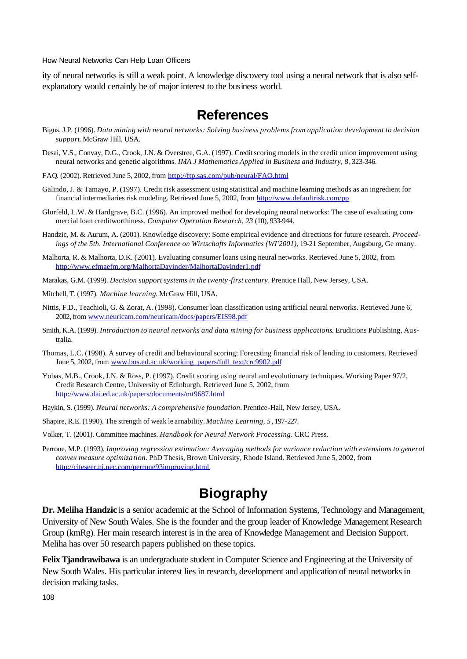ity of neural networks is still a weak point. A knowledge discovery tool using a neural network that is also selfexplanatory would certainly be of major interest to the business world.

## **References**

- Bigus, J.P. (1996). *Data mining with neural networks: Solving business problems from application development to decision support*. McGraw Hill, USA.
- Desai, V.S., Convay, D.G., Crook, J.N. & Overstree, G.A. (1997). Credit scoring models in the credit union improvement using neural networks and genetic algorithms. *IMA J Mathematics Applied in Business and Industry, 8*, 323-346.
- FAQ*.* (2002). Retrieved June 5, 2002, from http://ftp.sas.com/pub/neural/FAQ.html
- Galindo, J. & Tamayo, P. (1997). Credit risk assessment using statistical and machine learning methods as an ingredient for financial intermediaries risk modeling. Retrieved June 5, 2002, from http://www.defaultrisk.com/pp
- Glorfeld, L.W. & Hardgrave, B.C. (1996). An improved method for developing neural networks: The case of evaluating commercial loan creditworthiness. *Computer Operation Research, 23* (10), 933-944.
- Handzic, M. & Aurum, A. (2001). Knowledge discovery: Some empirical evidence and directions for future research. *Proceedings of the 5th. International Conference on Wirtschafts Informatics (WI'2001)*, 19-21 September, Augsburg, Ge rmany.
- Malhorta, R. & Malhorta, D.K. (2001). Evaluating consumer loans using neural networks. Retrieved June 5, 2002, from http://www.efmaefm.org/MalhortaDavinder/MalhortaDavinder1.pdf
- Marakas, G.M. (1999). *Decision support systems in the twenty-first century*. Prentice Hall, New Jersey, USA.
- Mitchell, T. (1997). *Machine learning*. McGraw Hill, USA.
- Nittis, F.D., Teachioli, G. & Zorat, A. (1998). Consumer loan classification using artificial neural networks. Retrieved June 6, 2002, from www.neuricam.com/neuricam/docs/papers/EIS98.pdf
- Smith, K.A. (1999). *Introduction to neural networks and data mining for business applications*. Eruditions Publishing, Australia.
- Thomas, L.C. (1998). A survey of credit and behavioural scoring: Forecsting financial risk of lending to customers. Retrieved June 5, 2002, from www.bus.ed.ac.uk/working\_papers/full\_text/crc9902.pdf
- Yobas, M.B., Crook, J.N. & Ross, P. (1997). Credit scoring using neural and evolutionary techniques. Working Paper 97/2, Credit Research Centre, University of Edinburgh. Retrieved June 5, 2002, from http://www.dai.ed.ac.uk/papers/documents/mt9687.html
- Haykin, S. (1999). *Neural networks: A comprehensive foundation*. Prentice-Hall, New Jersey, USA.
- Shapire, R.E. (1990). The strength of weak le arnability. *Machine Learning, 5*, 197-227.
- Volker, T. (2001). Committee machines. *Handbook for Neural Network Processing*. CRC Press.
- Perrone, M.P. (1993). *Improving regression estimation: Averaging methods for variance reduction with extensions to general convex measure optimization*. PhD Thesis, Brown University, Rhode Island. Retrieved June 5, 2002, from http://citeseer.nj.nec.com/perrone93improving.html

# **Biography**

**Dr. Meliha Handzic** is a senior academic at the School of Information Systems, Technology and Management, University of New South Wales. She is the founder and the group leader of Knowledge Management Research Group (kmRg). Her main research interest is in the area of Knowledge Management and Decision Support. Meliha has over 50 research papers published on these topics.

**Felix Tjandrawibawa** is an undergraduate student in Computer Science and Engineering at the University of New South Wales. His particular interest lies in research, development and application of neural networks in decision making tasks.

108